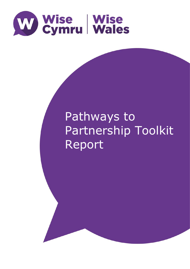

# Pathways to Partnership Toolkit Report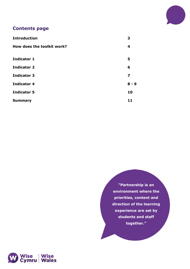

## **Contents page**

| <b>Introduction</b>        | 3       |
|----------------------------|---------|
| How does the toolkit work? | 4       |
| <b>Indicator 1</b>         | 5       |
| <b>Indicator 2</b>         | 6       |
| <b>Indicator 3</b>         | 7       |
| <b>Indicator 4</b>         | $8 - 9$ |
| <b>Indicator 5</b>         | 10      |
| <b>Summary</b>             | 11      |

**"Partnership is an environment where the priorities, content and direction of the learning experience are set by students and staff together."** 

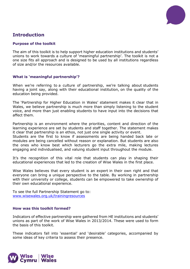

# **Introduction**

## **Purpose of the toolkit**

The aim of this toolkit is to help support higher education institutions and students' unions to work towards a culture of 'meaningful partnership'. The toolkit is not a one size fits all approach and is designed to be used by all institutions regardless of size and/or the resources available.

## **What is 'meaningful partnership'?**

When we're referring to a culture of partnership, we're talking about students having a joint say, along with their educational institution, on the quality of the education being provided.

The 'Partnership for Higher Education in Wales' statement makes it clear that in Wales, we believe partnership is much more than simply listening to the student voice, and more than just enabling students to have input into the decisions that affect them.

Partnership is an environment where the priorities, content and direction of the learning experience are set by students and staff together. The statement makes it clear that partnership is an ethos, not just one single activity or event.

Students are the first to know if assessments are being handed back late or modules are being cancelled without reason or explanation. But students are also the ones who know best which lecturers go the extra mile, making lectures engaging and individualised, and valuing student input throughout the module.

It's the recognition of this vital role that students can play in shaping their educational experiences that led to the creation of Wise Wales in the first place.

Wise Wales believes that every student is an expert in their own right and that everyone can bring a unique perspective to the table. By working in partnership with their university or college, students can be empowered to take ownership of their own educational experience.

To see the full Partnership Statement go to: [www.wisewales.org.uk/trainingresources](http://www.wisewales.org.uk/trainingresources)

## **How was this toolkit formed?**

Indicators of effective partnership were gathered from HE institutions and students' unions as part of the work of Wise Wales in 2013/2014. These were used to form the basis of this toolkit.

These indicators fall into 'essential' and 'desirable' categories, accompanied by some ideas of key criteria to assess their presence.

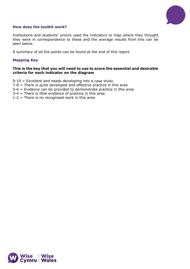

## **How does the toolkit work?**

Institutions and students' unions used the indicators to map where they thought they were in correspondence to these and the average results from this can be seen below.

A summary of all the points can be found at the end of this report.

## **Mapping Key**

## **This is the key that you will need to use to score the essential and desirable criteria for each indicator on the diagram**

- 9-10 = Excellent and needs developing into a case study
- $7-8$  = There is quite developed and effective practice in this area
- 5-6 = Evidence can be provided to demonstrate practice in this area
- 3-4 = There is little evidence of practice in this area
- $1-2$  = There is no recognised work in this area

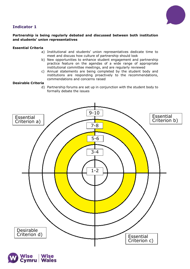## **Indicator 1**



## **Partnership is being regularly debated and discussed between both institution and students' union representatives**

## **Essential Criteria**

- a) Institutional and students' union representatives dedicate time to meet and discuss how culture of partnership should look
- b) New opportunities to enhance student engagement and partnership practice feature on the agendas of a wide range of appropriate institutional committee meetings, and are regularly reviewed
- c) Annual statements are being completed by the student body and institutions are responding proactively to the recommendations, commendations and concerns raised

## **Desirable Criteria**

d) Partnership forums are set up in conjunction with the student body to formally debate the issues



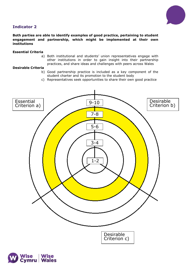



## **Both parties are able to identify examples of good practice, pertaining to student engagement and partnership, which might be implemented at their own institutions**

### **Essential Criteria**

a) Both institutional and students' union representatives engage with other institutions in order to gain insight into their partnership practices, and share ideas and challenges with peers across Wales

- b) Good partnership practice is included as a key component of the student charter and its promotion to the student body
- c) Representatives seek opportunities to share their own good practice



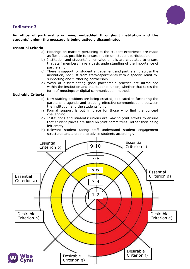## **Indicator 3**



## **An ethos of partnership is being embedded throughout institution and the students' union; the message is being actively disseminated**

## **Essential Criteria**

- a) Meetings on matters pertaining to the student experience are made as flexible as possible to ensure maximum student participation
- b) Institution and students' union-wide emails are circulated to ensure that staff members have a basic understanding of the importance of partnership
- c) There is support for student engagement and partnership across the institution, not just from staff/departments with a specific remit for supporting and furthering partnership.
- d) Ways of disseminating good partnership practice are introduced within the institution and the students' union, whether that takes the form of meetings or digital communication methods

- e) New staffing positions are being created, dedicated to furthering the partnership agenda and creating effective communications between the institution and the students' union
- f) Formal support is put in place for those who find the concept challenging
- g) Institutions and students' unions are making joint efforts to ensure that student places are filled on joint committees, rather than being left empty
- h) Relevant student facing staff understand student engagement structures and are able to advise students accordingly

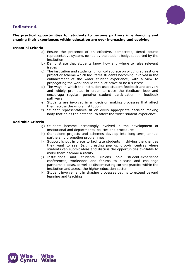



## **The practical opportunities for students to become partners in enhancing and shaping their experiences within education are ever increasing and evolving**

## **Essential Criteria**

- a) Ensure the presence of an effective, democratic, tiered course representative system, owned by the student body, supported by the institution
- b) Demonstrate that students know how and where to raise relevant issues
- c) The institution and students' union collaborate on piloting at least one project or scheme which facilitates students becoming involved in the enhancement of the wider student experience, with a view to propagating the work should the pilot prove to be a success
- d) The ways in which the institution uses student feedback are actively and widely promoted in order to close the feedback loop and encourage regular, genuine student participation in feedback pathways
- e) Students are involved in all decision making processes that affect them across the whole institution
- f) Student representatives sit on every appropriate decision making body that holds the potential to affect the wider student experience

- g) Students become increasingly involved in the development of institutional and departmental policies and procedures
- h) Standalone projects and schemes develop into long-term, annual partnership promotion programmes
- i) Support is put in place to facilitate students in driving the changes they want to see, (e.g. creating pop up drop-in centres where students can submit ideas and discuss the opportunities available to make them become a reality)
- j) Institutions and students' unions hold student-experience conferences, workshops and forums to discuss and challenge partnership ideas, as well as disseminating current practice within the institution and across the higher education sector
- k) Student involvement in shaping processes begins to extend beyond learning and teaching

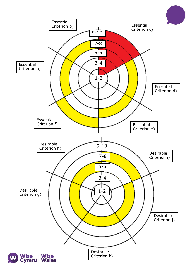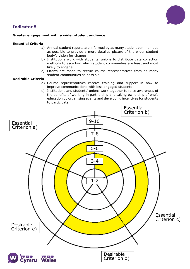



## **Greater engagement with a wider student audience**

#### **Essential Criteria**

- a) Annual student reports are informed by as many student communities as possible to provide a more detailed picture of the wider student body's vision for change
- b) Institutions work with students' unions to distribute data collection methods to ascertain which student communities are least and most likely to engage
- c) Efforts are made to recruit course representatives from as many student communities as possible

- d) Course representatives receive training and support in how to improve communications with less engaged students
- e) Institutions and students' unions work together to raise awareness of the benefits of working in partnership and taking ownership of one's education by organising events and developing incentives for students to participate

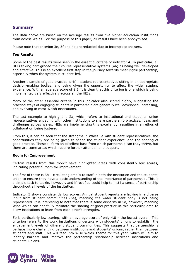

## **Summary**

The data above are based on the average results from five higher education institutions from across Wales. For the purpose of this paper, all results have been anonymised.

Please note that criterion 3e, 3f and 4c are redacted due to incomplete answers.

#### **Top Results**

Some of the best results were seen in the essential criteria of indicator 4. In particular, all HEIs taking part graded their course representative systems (4a) as being well developed and effective. This is an excellent first step in the journey towards meaningful partnership, especially when the system is student-led.

Another example of good practice is 4f – student representatives sitting in on appropriate decision-making bodies, and being given the opportunity to affect the wider student experience. With an average score of 8.5, it is clear that this criterion is one which is being implemented very effectively across all the HEIs.

Many of the other essential criteria in this indicator also scored highly, suggesting the practical ways of engaging students in partnership are generally well developed, increasing, and evolving in most Welsh institutions.

The last example to highlight is 2a, which refers to institutional and students' union representatives engaging with other institutions to share partnership practices, ideas and challenges across Wales. HEIs are implementing this excellently, resulting in an ethos of collaboration being fostered.

From this, it can be seen that the strengths in Wales lie with student representatives, the opportunities they are being given to shape the student experience, and the sharing of good practice. These all form an excellent base from which partnership can truly thrive, but there are some areas which require further attention and support.

#### **Room for Improvement**

Certain results from this toolkit have highlighted areas with consistently low scores, indicating potential room for improvement.

The first of these is 3b – circulating emails to staff in both the institution and the students' union to ensure they have a basic understanding of the importance of partnership. This is a simple task to tackle, however, and if rectified could help to instil a sense of partnership throughout all levels of the institution.

Indicator 5 shows consistently low scores. Annual student reports are lacking in a diverse input from student communities (5a), meaning the wider student body is not being represented. It is interesting to note that there is some disparity in 5a, however, meaning Wise Wales can hopefully facilitate the sharing of good practice in this particular area to allow institutions to learn from each other's strengths.

5b is particularly low scoring, with an average score of only 4.8 – the lowest overall. This criterion refers to the work institutions undertake with students' unions to establish the engagement levels of different student communities. This suggests that partnership is perhaps more challenging between institutions and students' unions, rather than between students and staff. This will feed into Wise Wales' theme for this year, which will aim to identify barriers and improve the partnership relationship between institutions and students' unions.

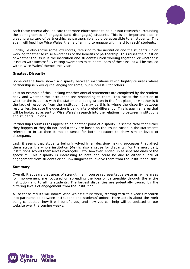

Both these criteria also indicate that more effort needs to be put into research surrounding the demographics of engaged (and disengaged) students. This is an important step in creating a culture of partnership, as partnership should be accessible to all students. This again will feed into Wise Wales' theme of aiming to engage with 'hard to reach' students.

Finally, 5e also shows some low scores, referring to the institution and the students' union working together to raise awareness of the benefits of partnership. This raises the question of whether the issue is the institution and students' union working together, or whether it is issues with successfully raising awareness to students. Both of these issues will be tackled within Wise Wales' themes this year.

## **Greatest Disparity**

Some criteria have shown a disparity between institutions which highlights areas where partnership is proving challenging for some, but successful for others.

1c is an example of this – asking whether annual statements are completed by the student body and whether the institutions are responding to them. This raises the question of whether the issue lies with the statements being written in the first place, or whether is it the lack of response from the institution. It may be this is where the disparity between results lies, because the question is being interpreted differently. This is again an area that will be looked at as part of Wise Wales' research into the relationship between institutions and students' unions.

Partnership Forums (1d) appear to be another point of disparity. It seems clear that either they happen or they do not, and if they are based on the issues raised in the statements referred to in 1c then it makes sense for both indicators to show similar levels of discrepancy.

Last, it seems that students being involved in all decision-making processes that affect them across the whole institution (4e) is also a cause for disparity. For the most part, institutions scored themselves averagely. Two, however, ended up at separate ends of the spectrum. This disparity is interesting to note and could be due to either a lack of engagement from students or an unwillingness to involve them from the institutional side.

#### **Summary**

Overall, it appears that areas of strength lie in course representative systems, while areas for improvement are focussed on spreading the idea of partnership through the entire institution and to all its students. The largest disparities are potentially caused by the differing levels of engagement from the institution.

All of these results will inform Wise Wales' future work, starting with this year's research into partnerships between institutions and students' unions. More details about the work being conducted, how it will benefit you, and how you can help will be updated on our website over the coming weeks.